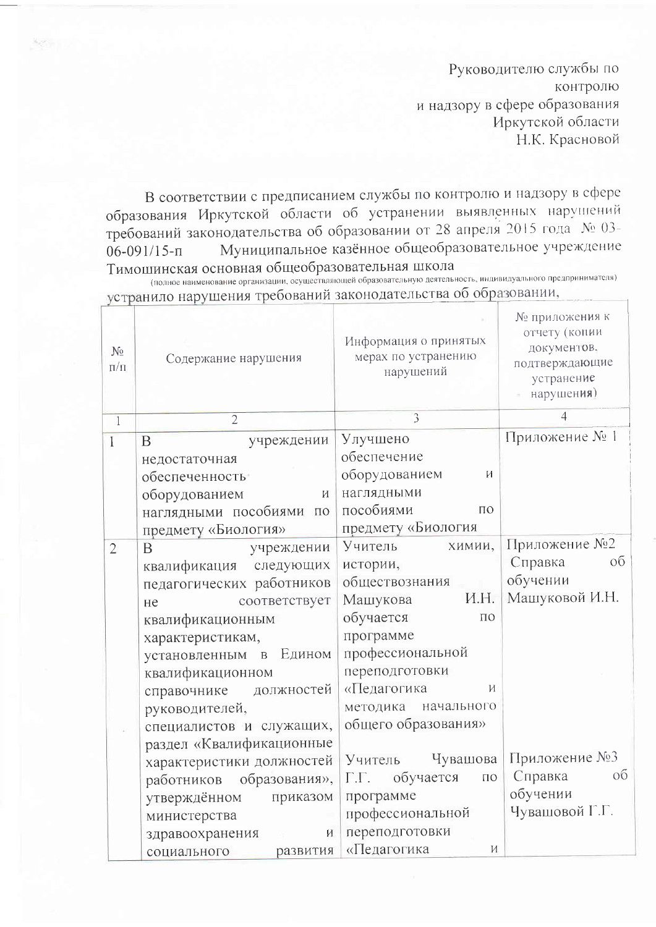Руководителю службы по контролю и надзору в сфере образования Иркутской области Н.К. Красновой

В соответствии с предписанием службы по контролю и надзору в сфере образования Иркутской области об устранении выявленных нарушений требований законодательства об образовании от 28 апреля 2015 года № 03-Муниципальное казённое общеобразовательное учреждение  $06 - 091/15 - n$ Тимошинская основная общеобразовательная школа

(полное наименование организации, осуществляющей образовательную деятельность, индивидуального предпринимателя) устранило нарушения требований законодательства об образовании,

| $N_{\Omega}$<br>$\Pi/\Pi$ | Содержание нарушения       | Информация о принятых<br>мерах по устранению<br>нарушений | № приложения к<br>отчету (копии<br>документов,<br>подтверждающие<br>устранение<br>нарушения) |
|---------------------------|----------------------------|-----------------------------------------------------------|----------------------------------------------------------------------------------------------|
| $\overline{1}$            | $\overline{2}$             | 3                                                         | 4                                                                                            |
| $\overline{1}$            | $\mathbf{B}$<br>учреждении | Улучшено                                                  | Приложение № 1                                                                               |
|                           | недостаточная              | обеспечение                                               |                                                                                              |
|                           | <b>обеспеченность</b>      | оборудованием<br>И                                        |                                                                                              |
|                           | оборудованием<br>И         | наглядными                                                |                                                                                              |
|                           | наглядными пособиями по    | пособиями<br>$\Pi$ <sup>O</sup>                           |                                                                                              |
|                           | предмету «Биология»        | предмету «Биология                                        |                                                                                              |
| $\overline{2}$            | <sub>B</sub><br>учреждении | Учитель<br>химии,                                         | Приложение №2                                                                                |
|                           | квалификация следующих     | истории,                                                  | Справка<br>об                                                                                |
|                           | педагогических работников  | обществознания                                            | обучении                                                                                     |
|                           | соответствует<br>He        | И.Н.<br>Машукова                                          | Машуковой И.Н.                                                                               |
|                           | квалификационным           | обучается<br>$\Pi$ <sup>O</sup>                           |                                                                                              |
|                           | характеристикам,           | программе                                                 |                                                                                              |
|                           | установленным в Едином     | профессиональной                                          |                                                                                              |
|                           | квалификационном           | переподготовки                                            |                                                                                              |
|                           | справочнике должностей     | «Педагогика<br>И                                          |                                                                                              |
|                           | руководителей,             | методика начального                                       |                                                                                              |
|                           | специалистов и служащих,   | общего образования»                                       |                                                                                              |
|                           | раздел «Квалификационные   | Чувашова<br>Учитель                                       | Приложение №3                                                                                |
|                           | характеристики должностей  | Г.Г. обучается<br>$\Pi{\rm O}$                            | Справка<br>$\overline{O6}$                                                                   |
|                           | работников образования»,   | программе                                                 | обучении                                                                                     |
|                           | утверждённом<br>приказом   | профессиональной                                          | Чувашовой Г.Г.                                                                               |
|                           | министерства               | переподготовки                                            |                                                                                              |
|                           | здравоохранения<br>И       | «Педагогика<br>И                                          |                                                                                              |
|                           | развития<br>социального    |                                                           |                                                                                              |